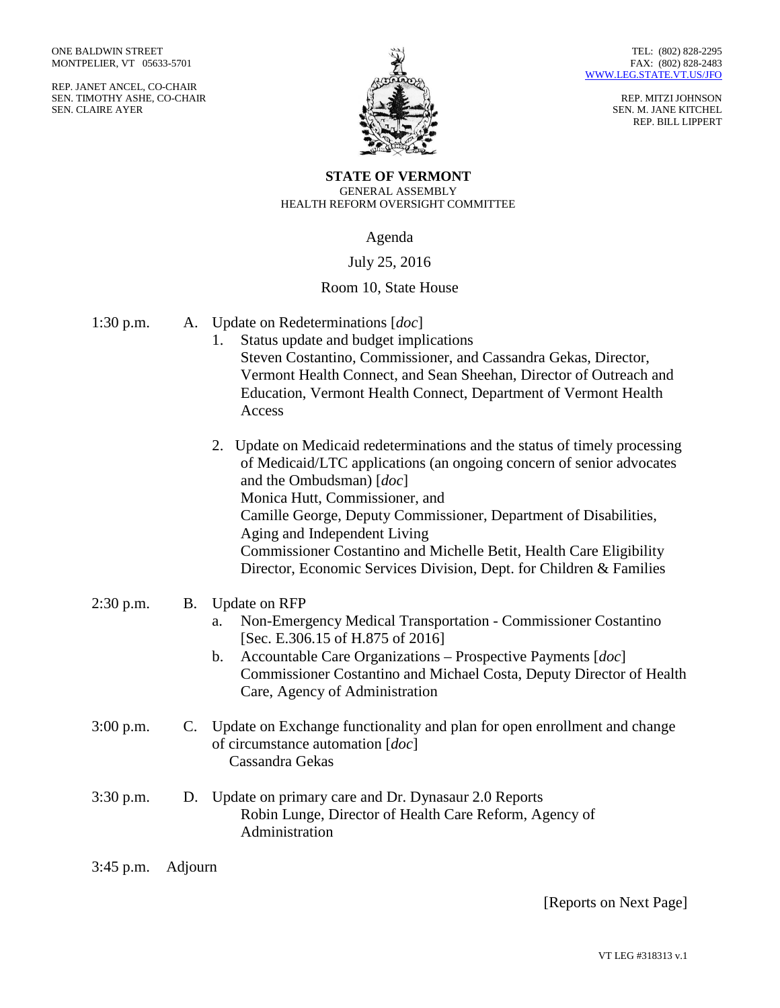REP. JANET ANCEL, CO-CHAIR SEN. TIMOTHY ASHE, CO-CHAIR SEN. CLAIRE AYER



REP. MITZI JOHNSON SEN. M. JANE KITCHEL REP. BILL LIPPERT

## **STATE OF VERMONT** GENERAL ASSEMBLY HEALTH REFORM OVERSIGHT COMMITTEE

Agenda

## July 25, 2016

## Room 10, State House

| $1:30$ p.m. | Α.        | Update on Redeterminations [ <i>doc</i> ]<br>Status update and budget implications<br>1.<br>Steven Costantino, Commissioner, and Cassandra Gekas, Director,<br>Vermont Health Connect, and Sean Sheehan, Director of Outreach and<br>Education, Vermont Health Connect, Department of Vermont Health<br>Access               |
|-------------|-----------|------------------------------------------------------------------------------------------------------------------------------------------------------------------------------------------------------------------------------------------------------------------------------------------------------------------------------|
|             |           | 2. Update on Medicaid redeterminations and the status of timely processing<br>of Medicaid/LTC applications (an ongoing concern of senior advocates<br>and the Ombudsman) [doc]<br>Monica Hutt, Commissioner, and<br>Camille George, Deputy Commissioner, Department of Disabilities,<br>Aging and Independent Living         |
|             |           | Commissioner Costantino and Michelle Betit, Health Care Eligibility<br>Director, Economic Services Division, Dept. for Children & Families                                                                                                                                                                                   |
| 2:30 p.m.   | <b>B.</b> | <b>Update on RFP</b><br>Non-Emergency Medical Transportation - Commissioner Costantino<br>a.<br>[Sec. E.306.15 of H.875 of 2016]<br>Accountable Care Organizations - Prospective Payments $[doc]$<br>$\mathbf b$ .<br>Commissioner Costantino and Michael Costa, Deputy Director of Health<br>Care, Agency of Administration |
| $3:00$ p.m. |           | C. Update on Exchange functionality and plan for open enrollment and change<br>of circumstance automation [ <i>doc</i> ]<br>Cassandra Gekas                                                                                                                                                                                  |
| $3:30$ p.m. | D.        | Update on primary care and Dr. Dynasaur 2.0 Reports<br>Robin Lunge, Director of Health Care Reform, Agency of<br>Administration                                                                                                                                                                                              |

3:45 p.m. Adjourn

[Reports on Next Page]